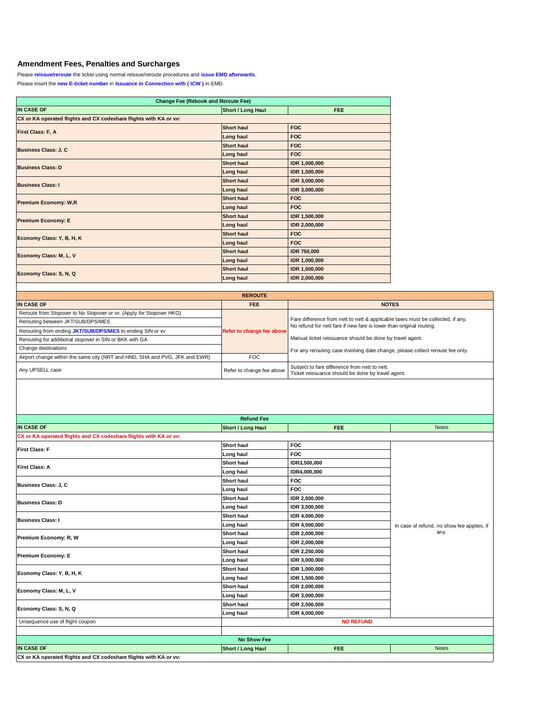## **Amendment Fees, Penalties and Surcharges**

Please **reissue/reroute** the ticket using normal reissue/reroute procedures and **issue EMD afterwards**.

Please insert the **new E-ticket number** in **Issuance in Connection with ( ICW )** in EMD.

| <b>Change Fee (Rebook and Reroute Fee)</b>                        |                          |                      |  |  |  |  |
|-------------------------------------------------------------------|--------------------------|----------------------|--|--|--|--|
| <b>IN CASE OF</b>                                                 | <b>Short / Long Haul</b> | FEE.                 |  |  |  |  |
| CX or KA operated flights and CX codeshare flights with KA or vv: |                          |                      |  |  |  |  |
| <b>First Class: F, A</b>                                          | <b>Short haul</b>        | <b>FOC</b>           |  |  |  |  |
|                                                                   | <b>Long haul</b>         | <b>FOC</b>           |  |  |  |  |
| <b>Business Class: J, C</b>                                       | <b>Short haul</b>        | <b>FOC</b>           |  |  |  |  |
|                                                                   | <b>Long haul</b>         | <b>FOC</b>           |  |  |  |  |
| <b>Business Class: D</b>                                          | <b>Short haul</b>        | <b>IDR 1,000,000</b> |  |  |  |  |
|                                                                   | Long haul                | <b>IDR 1,500,000</b> |  |  |  |  |
| <b>Business Class: I</b>                                          | <b>Short haul</b>        | <b>IDR 3,000,000</b> |  |  |  |  |
|                                                                   | Long haul                | <b>IDR 3,000,000</b> |  |  |  |  |
|                                                                   | <b>Short haul</b>        | <b>FOC</b>           |  |  |  |  |
| <b>Premium Economy: W,R</b>                                       | <b>Long haul</b>         | <b>FOC</b>           |  |  |  |  |
|                                                                   | <b>Short haul</b>        | <b>IDR 1,500,000</b> |  |  |  |  |
| <b>Premium Economy: E</b>                                         | Long haul                | <b>IDR 2,000,000</b> |  |  |  |  |
| <b>Economy Class: Y, B, H, K</b>                                  | <b>Short haul</b>        | <b>FOC</b>           |  |  |  |  |
|                                                                   | <b>Long haul</b>         | <b>FOC</b>           |  |  |  |  |
|                                                                   | <b>Short haul</b>        | <b>IDR 750,000</b>   |  |  |  |  |
| <b>Economy Class: M, L, V</b>                                     | <b>Long haul</b>         | <b>IDR 1,000,000</b> |  |  |  |  |
|                                                                   | <b>Short haul</b>        | <b>IDR 1,500,000</b> |  |  |  |  |
| <b>Economy Class: S, N, Q</b>                                     | Long haul                | <b>IDR 2,000,000</b> |  |  |  |  |

| <b>REROUTE</b>                                                              |                           |                                                                                                                                                        |  |  |  |  |  |
|-----------------------------------------------------------------------------|---------------------------|--------------------------------------------------------------------------------------------------------------------------------------------------------|--|--|--|--|--|
| <b>IN CASE OF</b>                                                           | <b>FEE</b>                | <b>NOTES</b>                                                                                                                                           |  |  |  |  |  |
| Reroute from Stopover to No Stopover or w. (Apply for Stopover HKG)         |                           |                                                                                                                                                        |  |  |  |  |  |
| Rerouting between JKT/SUB/DPS/MES                                           |                           | Fare difference from nett to nett & applicable taxes must be collected, if any.<br>No refund for nett fare if new fare is lower than original routing. |  |  |  |  |  |
| Rerouting from ending JKT/SUB/DPS/MES to ending SIN or w                    | Refer to change fee above |                                                                                                                                                        |  |  |  |  |  |
| Rerouting for additional stopover in SIN or BKK with GA                     |                           | Manual ticket reissuance should be done by travel agent.<br>For any rerouting case involving date change, please collect reroute fee only.             |  |  |  |  |  |
| <b>Change destinations</b>                                                  |                           |                                                                                                                                                        |  |  |  |  |  |
| Airport change within the same city (NRT and HND, SHA and PVG, JFK and EWR) | <b>FOC</b>                |                                                                                                                                                        |  |  |  |  |  |
| Any UPSELL case                                                             | Refer to change fee above | Subject to fare difference from nett to nett.<br>Ticket reissuance should be done by travel agent.                                                     |  |  |  |  |  |

|                                                                          | <b>Refund Fee</b>        |                      |                                                      |
|--------------------------------------------------------------------------|--------------------------|----------------------|------------------------------------------------------|
| <b>IN CASE OF</b>                                                        | <b>Short / Long Haul</b> | <b>FEE</b>           | <b>Notes</b>                                         |
| <b>CX or KA operated flights and CX codeshare flights with KA or vv:</b> |                          |                      |                                                      |
| <b>First Class: F</b>                                                    | <b>Short haul</b>        | <b>FOC</b>           |                                                      |
|                                                                          | Long haul                | <b>FOC</b>           |                                                      |
| <b>First Class: A</b>                                                    | <b>Short haul</b>        | <b>IDR3,500,000</b>  |                                                      |
|                                                                          | Long haul                | <b>IDR4,000,000</b>  |                                                      |
|                                                                          | <b>Short haul</b>        | <b>FOC</b>           |                                                      |
| <b>Business Class: J, C</b>                                              | Long haul                | <b>FOC</b>           |                                                      |
| <b>Business Class: D</b>                                                 | <b>Short haul</b>        | <b>IDR 2,500,000</b> |                                                      |
|                                                                          | Long haul                | <b>IDR 3,500,000</b> |                                                      |
|                                                                          | <b>Short haul</b>        | <b>IDR 4,000,000</b> | In case of refund, no show fee applies, if  <br>any. |
| <b>Business Class: I</b>                                                 | <b>Long haul</b>         | <b>IDR 4,500,000</b> |                                                      |
| <b>Premium Economy: R, W</b>                                             | <b>Short haul</b>        | <b>IDR 2,000,000</b> |                                                      |
|                                                                          | Long haul                | <b>IDR 2,000,000</b> |                                                      |
| <b>Premium Economy: E</b>                                                | <b>Short haul</b>        | <b>IDR 2,250,000</b> |                                                      |
|                                                                          | Long haul                | <b>IDR 3,000,000</b> |                                                      |
| Economy Class: Y, B, H, K                                                | <b>Short haul</b>        | <b>IDR 1,000,000</b> |                                                      |
|                                                                          | <b>Long haul</b>         | <b>IDR 1,500,000</b> |                                                      |
| <b>Economy Class: M, L, V</b>                                            | <b>Short haul</b>        | <b>IDR 2,000,000</b> |                                                      |
|                                                                          | <b>Long haul</b>         | <b>IDR 3,000,000</b> |                                                      |
| Economy Class: S, N, Q                                                   | <b>Short haul</b>        | <b>IDR 2,500,000</b> |                                                      |
|                                                                          | Long haul                | <b>IDR 4,000,000</b> |                                                      |
| Unsequence use of flight coupon                                          |                          | <b>NO REFUND</b>     |                                                      |
|                                                                          |                          |                      |                                                      |
|                                                                          | <b>No Show Fee</b>       |                      |                                                      |
| <b>IN CASE OF</b>                                                        | <b>Short / Long Haul</b> | <b>FEE</b>           | <b>Notes</b>                                         |